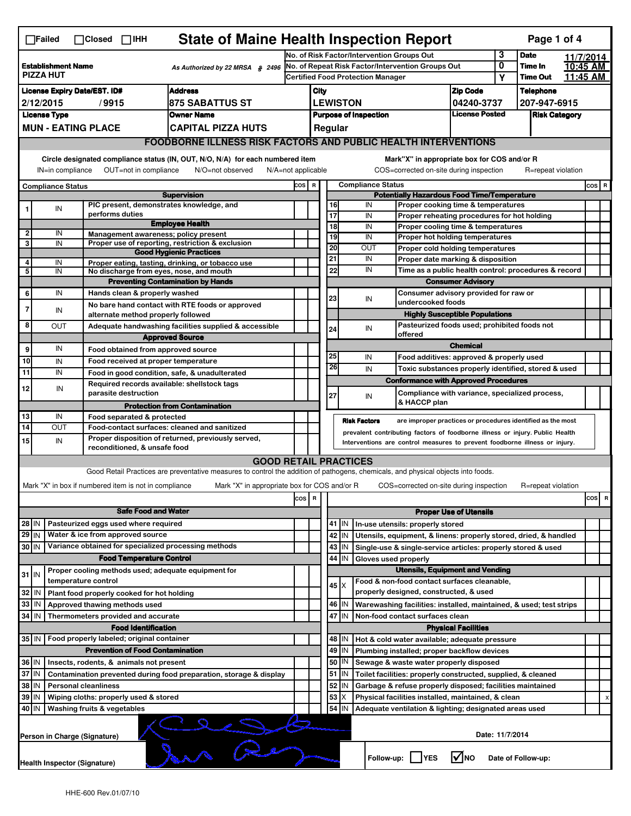|                                                                                                                                                                                                                                                                     | <b>State of Maine Health Inspection Report</b><br>Page 1 of 4<br>$\Box$ Failed<br>$\Box$ Closed $\Box$ IHH |  |                                                                                              |                                                                                                                                   |                                            |                                                                                               |          |                                                                                        |                                                                                         |                                              |                      |                            |                      |       |   |  |
|---------------------------------------------------------------------------------------------------------------------------------------------------------------------------------------------------------------------------------------------------------------------|------------------------------------------------------------------------------------------------------------|--|----------------------------------------------------------------------------------------------|-----------------------------------------------------------------------------------------------------------------------------------|--------------------------------------------|-----------------------------------------------------------------------------------------------|----------|----------------------------------------------------------------------------------------|-----------------------------------------------------------------------------------------|----------------------------------------------|----------------------|----------------------------|----------------------|-------|---|--|
|                                                                                                                                                                                                                                                                     |                                                                                                            |  |                                                                                              |                                                                                                                                   | No. of Risk Factor/Intervention Groups Out |                                                                                               |          |                                                                                        |                                                                                         | 3                                            | <b>Date</b>          | 11/7/2014                  |                      |       |   |  |
|                                                                                                                                                                                                                                                                     | <b>Establishment Name</b><br>As Authorized by 22 MRSA § 2496<br><b>PIZZA HUT</b>                           |  |                                                                                              |                                                                                                                                   |                                            | No. of Repeat Risk Factor/Intervention Groups Out<br><b>Certified Food Protection Manager</b> |          |                                                                                        |                                                                                         |                                              | 0<br>Υ               | Time In<br><b>Time Out</b> | 10:45 AM<br>11:45 AM |       |   |  |
|                                                                                                                                                                                                                                                                     | <b>Address</b><br><b>License Expiry Date/EST. ID#</b>                                                      |  |                                                                                              |                                                                                                                                   |                                            |                                                                                               |          |                                                                                        |                                                                                         | <b>Zip Code</b>                              |                      | <b>Telephone</b>           |                      |       |   |  |
|                                                                                                                                                                                                                                                                     | 2/12/2015<br>/9915<br>875 SABATTUS ST                                                                      |  |                                                                                              |                                                                                                                                   |                                            | City<br><b>LEWISTON</b>                                                                       |          |                                                                                        |                                                                                         | 04240-3737                                   |                      | 207-947-6915               |                      |       |   |  |
| <b>License Type</b><br><b>Owner Name</b>                                                                                                                                                                                                                            |                                                                                                            |  |                                                                                              |                                                                                                                                   |                                            | <b>License Posted</b>                                                                         |          |                                                                                        |                                                                                         |                                              | <b>Risk Category</b> |                            |                      |       |   |  |
|                                                                                                                                                                                                                                                                     | <b>MUN - EATING PLACE</b><br><b>CAPITAL PIZZA HUTS</b>                                                     |  |                                                                                              |                                                                                                                                   |                                            | <b>Purpose of Inspection</b><br>Regular                                                       |          |                                                                                        |                                                                                         |                                              |                      |                            |                      |       |   |  |
|                                                                                                                                                                                                                                                                     |                                                                                                            |  |                                                                                              |                                                                                                                                   |                                            |                                                                                               |          |                                                                                        |                                                                                         |                                              |                      |                            |                      |       |   |  |
| <b>FOODBORNE ILLNESS RISK FACTORS AND PUBLIC HEALTH INTERVENTIONS</b>                                                                                                                                                                                               |                                                                                                            |  |                                                                                              |                                                                                                                                   |                                            |                                                                                               |          |                                                                                        |                                                                                         |                                              |                      |                            |                      |       |   |  |
| Circle designated compliance status (IN, OUT, N/O, N/A) for each numbered item<br>Mark"X" in appropriate box for COS and/or R<br>OUT=not in compliance<br>N/O=not observed<br>COS=corrected on-site during inspection<br>IN=in compliance<br>$N/A = not$ applicable |                                                                                                            |  |                                                                                              |                                                                                                                                   |                                            |                                                                                               |          | R=repeat violation                                                                     |                                                                                         |                                              |                      |                            |                      |       |   |  |
|                                                                                                                                                                                                                                                                     | <b>Compliance Status</b>                                                                                   |  |                                                                                              |                                                                                                                                   | COS R                                      | <b>Compliance Status</b>                                                                      |          |                                                                                        |                                                                                         |                                              |                      |                            |                      | COS R |   |  |
|                                                                                                                                                                                                                                                                     |                                                                                                            |  |                                                                                              | <b>Supervision</b>                                                                                                                |                                            |                                                                                               |          | <b>Potentially Hazardous Food Time/Temperature</b>                                     |                                                                                         |                                              |                      |                            |                      |       |   |  |
|                                                                                                                                                                                                                                                                     | IN                                                                                                         |  | PIC present, demonstrates knowledge, and<br>performs duties                                  |                                                                                                                                   |                                            |                                                                                               | 16<br>17 |                                                                                        | IN<br>Proper cooking time & temperatures<br>IN                                          |                                              |                      |                            |                      |       |   |  |
|                                                                                                                                                                                                                                                                     |                                                                                                            |  |                                                                                              | <b>Employee Health</b>                                                                                                            |                                            |                                                                                               | 18       |                                                                                        | Proper reheating procedures for hot holding<br>IN<br>Proper cooling time & temperatures |                                              |                      |                            |                      |       |   |  |
| $\overline{\mathbf{c}}$                                                                                                                                                                                                                                             | IN                                                                                                         |  | Management awareness; policy present                                                         |                                                                                                                                   |                                            |                                                                                               | 19       |                                                                                        | IN<br>Proper hot holding temperatures                                                   |                                              |                      |                            |                      |       |   |  |
| 3                                                                                                                                                                                                                                                                   | IN                                                                                                         |  |                                                                                              | Proper use of reporting, restriction & exclusion                                                                                  |                                            |                                                                                               | 20       |                                                                                        | <b>OUT</b><br>Proper cold holding temperatures                                          |                                              |                      |                            |                      |       |   |  |
| 4                                                                                                                                                                                                                                                                   | IN                                                                                                         |  |                                                                                              | <b>Good Hygienic Practices</b><br>Proper eating, tasting, drinking, or tobacco use                                                |                                            |                                                                                               | 21       |                                                                                        | IN<br>Proper date marking & disposition                                                 |                                              |                      |                            |                      |       |   |  |
| $\overline{\mathbf{5}}$                                                                                                                                                                                                                                             | IN                                                                                                         |  | No discharge from eyes, nose, and mouth                                                      |                                                                                                                                   |                                            |                                                                                               | 22       |                                                                                        | IN<br>Time as a public health control: procedures & record                              |                                              |                      |                            |                      |       |   |  |
|                                                                                                                                                                                                                                                                     |                                                                                                            |  |                                                                                              | <b>Preventing Contamination by Hands</b>                                                                                          |                                            |                                                                                               |          |                                                                                        | <b>Consumer Advisory</b>                                                                |                                              |                      |                            |                      |       |   |  |
| 6                                                                                                                                                                                                                                                                   | IN                                                                                                         |  | Hands clean & properly washed                                                                |                                                                                                                                   |                                            |                                                                                               | 23       |                                                                                        | Consumer advisory provided for raw or<br>IN                                             |                                              |                      |                            |                      |       |   |  |
| 7                                                                                                                                                                                                                                                                   | IN                                                                                                         |  |                                                                                              | No bare hand contact with RTE foods or approved                                                                                   |                                            |                                                                                               |          |                                                                                        |                                                                                         | undercooked foods                            |                      |                            |                      |       |   |  |
|                                                                                                                                                                                                                                                                     |                                                                                                            |  | alternate method properly followed                                                           |                                                                                                                                   |                                            |                                                                                               |          |                                                                                        | <b>Highly Susceptible Populations</b>                                                   |                                              |                      |                            |                      |       |   |  |
| 8                                                                                                                                                                                                                                                                   | <b>OUT</b>                                                                                                 |  |                                                                                              | Adequate handwashing facilities supplied & accessible                                                                             |                                            |                                                                                               | 24       |                                                                                        | IN<br>offered                                                                           | Pasteurized foods used; prohibited foods not |                      |                            |                      |       |   |  |
| 9                                                                                                                                                                                                                                                                   | IN                                                                                                         |  |                                                                                              | <b>Approved Source</b>                                                                                                            |                                            |                                                                                               |          |                                                                                        |                                                                                         | <b>Chemical</b>                              |                      |                            |                      |       |   |  |
| 10                                                                                                                                                                                                                                                                  | IN                                                                                                         |  | Food obtained from approved source                                                           |                                                                                                                                   |                                            |                                                                                               | 25       |                                                                                        | IN<br>Food additives: approved & properly used                                          |                                              |                      |                            |                      |       |   |  |
| 11                                                                                                                                                                                                                                                                  | IN                                                                                                         |  | Food received at proper temperature                                                          |                                                                                                                                   |                                            |                                                                                               | 26       |                                                                                        | IN<br>Toxic substances properly identified, stored & used                               |                                              |                      |                            |                      |       |   |  |
|                                                                                                                                                                                                                                                                     |                                                                                                            |  | Food in good condition, safe, & unadulterated<br>Required records available: shellstock tags |                                                                                                                                   |                                            |                                                                                               |          |                                                                                        | <b>Conformance with Approved Procedures</b>                                             |                                              |                      |                            |                      |       |   |  |
| 12                                                                                                                                                                                                                                                                  | IN                                                                                                         |  | parasite destruction                                                                         |                                                                                                                                   |                                            |                                                                                               | 27       |                                                                                        | Compliance with variance, specialized process,<br>IN                                    |                                              |                      |                            |                      |       |   |  |
|                                                                                                                                                                                                                                                                     |                                                                                                            |  |                                                                                              | <b>Protection from Contamination</b>                                                                                              |                                            |                                                                                               |          |                                                                                        | & HACCP plan                                                                            |                                              |                      |                            |                      |       |   |  |
| 13                                                                                                                                                                                                                                                                  | IN                                                                                                         |  | Food separated & protected                                                                   |                                                                                                                                   |                                            |                                                                                               |          | <b>Risk Factors</b>                                                                    | are improper practices or procedures identified as the most                             |                                              |                      |                            |                      |       |   |  |
| 14                                                                                                                                                                                                                                                                  | OUT                                                                                                        |  | Food-contact surfaces: cleaned and sanitized                                                 |                                                                                                                                   |                                            |                                                                                               |          |                                                                                        | prevalent contributing factors of foodborne illness or injury. Public Health            |                                              |                      |                            |                      |       |   |  |
| 15                                                                                                                                                                                                                                                                  | IN                                                                                                         |  | reconditioned, & unsafe food                                                                 | Proper disposition of returned, previously served,                                                                                |                                            |                                                                                               |          |                                                                                        | Interventions are control measures to prevent foodborne illness or injury.              |                                              |                      |                            |                      |       |   |  |
|                                                                                                                                                                                                                                                                     |                                                                                                            |  |                                                                                              | <b>GOOD RETAIL PRACTICES</b>                                                                                                      |                                            |                                                                                               |          |                                                                                        |                                                                                         |                                              |                      |                            |                      |       |   |  |
|                                                                                                                                                                                                                                                                     |                                                                                                            |  |                                                                                              | Good Retail Practices are preventative measures to control the addition of pathogens, chemicals, and physical objects into foods. |                                            |                                                                                               |          |                                                                                        |                                                                                         |                                              |                      |                            |                      |       |   |  |
|                                                                                                                                                                                                                                                                     |                                                                                                            |  | Mark "X" in box if numbered item is not in compliance                                        | Mark "X" in appropriate box for COS and/or R                                                                                      |                                            |                                                                                               |          |                                                                                        | COS=corrected on-site during inspection                                                 |                                              |                      | R=repeat violation         |                      |       |   |  |
|                                                                                                                                                                                                                                                                     |                                                                                                            |  |                                                                                              |                                                                                                                                   | $\cos   R$                                 |                                                                                               |          |                                                                                        |                                                                                         |                                              |                      |                            |                      | cos   | R |  |
| <b>Safe Food and Water</b>                                                                                                                                                                                                                                          |                                                                                                            |  |                                                                                              |                                                                                                                                   |                                            |                                                                                               |          |                                                                                        |                                                                                         | <b>Proper Use of Utensils</b>                |                      |                            |                      |       |   |  |
| Pasteurized eggs used where required<br>$28$ IN                                                                                                                                                                                                                     |                                                                                                            |  |                                                                                              |                                                                                                                                   |                                            |                                                                                               |          | 41 J IN                                                                                | In-use utensils: properly stored                                                        |                                              |                      |                            |                      |       |   |  |
| $29$ IN                                                                                                                                                                                                                                                             |                                                                                                            |  | Water & ice from approved source                                                             |                                                                                                                                   |                                            |                                                                                               |          | 42   IN                                                                                | Utensils, equipment, & linens: properly stored, dried, & handled                        |                                              |                      |                            |                      |       |   |  |
| 30 IN                                                                                                                                                                                                                                                               |                                                                                                            |  | Variance obtained for specialized processing methods                                         |                                                                                                                                   |                                            |                                                                                               |          | 43 IN                                                                                  | Single-use & single-service articles: properly stored & used                            |                                              |                      |                            |                      |       |   |  |
|                                                                                                                                                                                                                                                                     |                                                                                                            |  | <b>Food Temperature Control</b>                                                              |                                                                                                                                   |                                            |                                                                                               |          | 44   IN                                                                                | Gloves used properly                                                                    |                                              |                      |                            |                      |       |   |  |
| $31$ IN                                                                                                                                                                                                                                                             |                                                                                                            |  | Proper cooling methods used; adequate equipment for                                          |                                                                                                                                   |                                            |                                                                                               |          |                                                                                        | <b>Utensils, Equipment and Vending</b>                                                  |                                              |                      |                            |                      |       |   |  |
|                                                                                                                                                                                                                                                                     |                                                                                                            |  | temperature control                                                                          |                                                                                                                                   |                                            |                                                                                               |          | 45   X                                                                                 | Food & non-food contact surfaces cleanable,                                             |                                              |                      |                            |                      |       |   |  |
| 32                                                                                                                                                                                                                                                                  | IN                                                                                                         |  | Plant food properly cooked for hot holding                                                   |                                                                                                                                   |                                            |                                                                                               |          |                                                                                        | properly designed, constructed, & used                                                  |                                              |                      |                            |                      |       |   |  |
| 33                                                                                                                                                                                                                                                                  | IN                                                                                                         |  | Approved thawing methods used                                                                |                                                                                                                                   |                                            |                                                                                               |          | 46 IN                                                                                  | Warewashing facilities: installed, maintained, & used; test strips                      |                                              |                      |                            |                      |       |   |  |
| $34$ IN                                                                                                                                                                                                                                                             |                                                                                                            |  | Thermometers provided and accurate                                                           |                                                                                                                                   |                                            |                                                                                               |          | 47 IN                                                                                  | Non-food contact surfaces clean                                                         |                                              |                      |                            |                      |       |   |  |
|                                                                                                                                                                                                                                                                     |                                                                                                            |  | <b>Food Identification</b>                                                                   |                                                                                                                                   |                                            |                                                                                               |          |                                                                                        |                                                                                         | <b>Physical Facilities</b>                   |                      |                            |                      |       |   |  |
| 35 IN                                                                                                                                                                                                                                                               |                                                                                                            |  | Food properly labeled; original container                                                    |                                                                                                                                   |                                            |                                                                                               |          | 48   IN                                                                                | Hot & cold water available; adequate pressure                                           |                                              |                      |                            |                      |       |   |  |
|                                                                                                                                                                                                                                                                     |                                                                                                            |  | <b>Prevention of Food Contamination</b>                                                      |                                                                                                                                   |                                            |                                                                                               |          | $49$ IN                                                                                | Plumbing installed; proper backflow devices                                             |                                              |                      |                            |                      |       |   |  |
| 36 IN                                                                                                                                                                                                                                                               |                                                                                                            |  | Insects, rodents, & animals not present                                                      |                                                                                                                                   |                                            |                                                                                               |          | 50   IN                                                                                | Sewage & waste water properly disposed                                                  |                                              |                      |                            |                      |       |   |  |
| 37 IN<br>Contamination prevented during food preparation, storage & display                                                                                                                                                                                         |                                                                                                            |  |                                                                                              |                                                                                                                                   |                                            |                                                                                               |          | $51$ $\vert$ IN                                                                        | Toilet facilities: properly constructed, supplied, & cleaned                            |                                              |                      |                            |                      |       |   |  |
| 38<br>IN<br><b>Personal cleanliness</b>                                                                                                                                                                                                                             |                                                                                                            |  |                                                                                              |                                                                                                                                   |                                            |                                                                                               |          | 52 IN                                                                                  | Garbage & refuse properly disposed; facilities maintained                               |                                              |                      |                            |                      |       |   |  |
|                                                                                                                                                                                                                                                                     | 39<br>IN<br>Wiping cloths: properly used & stored<br>40 IN                                                 |  |                                                                                              |                                                                                                                                   |                                            |                                                                                               | 53       | X<br>54 IN                                                                             | Physical facilities installed, maintained, & clean                                      |                                              |                      |                            |                      |       |   |  |
|                                                                                                                                                                                                                                                                     |                                                                                                            |  | Washing fruits & vegetables                                                                  |                                                                                                                                   |                                            |                                                                                               |          |                                                                                        | Adequate ventilation & lighting; designated areas used                                  |                                              |                      |                            |                      |       |   |  |
|                                                                                                                                                                                                                                                                     | Person in Charge (Signature)                                                                               |  |                                                                                              | $\begin{matrix} \begin{matrix} \cdot & \cdot & \cdot \\ \cdot & \cdot & \end{matrix} \end{matrix}$                                |                                            |                                                                                               |          |                                                                                        |                                                                                         |                                              | Date: 11/7/2014      |                            |                      |       |   |  |
|                                                                                                                                                                                                                                                                     |                                                                                                            |  |                                                                                              |                                                                                                                                   |                                            |                                                                                               |          | Follow-up: YES<br>$\sqrt{\ }$ NO<br>Date of Follow-up:<br>Health Inspector (Signature) |                                                                                         |                                              |                      |                            |                      |       |   |  |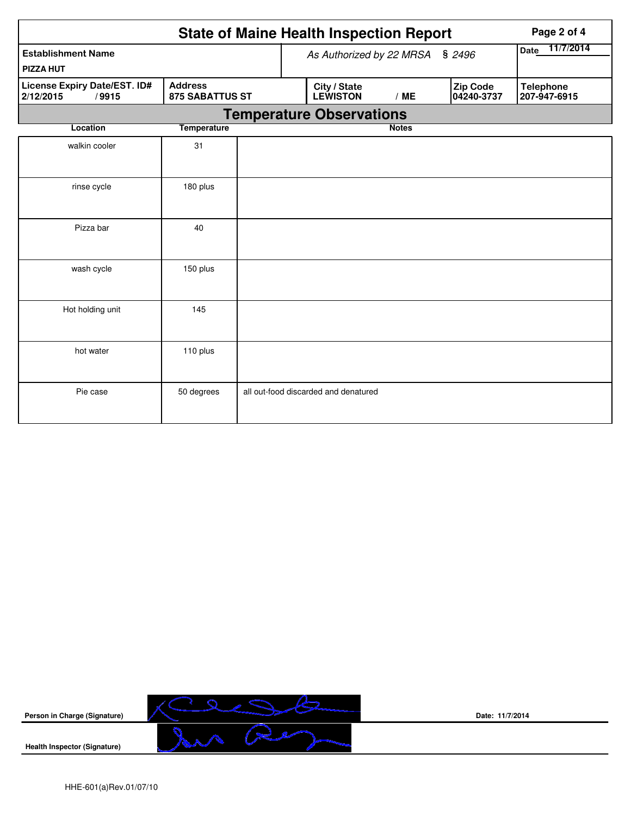|                                                                                                |                          |                | <b>State of Maine Health Inspection Report</b> | Page 2 of 4  |                        |                                  |
|------------------------------------------------------------------------------------------------|--------------------------|----------------|------------------------------------------------|--------------|------------------------|----------------------------------|
| <b>Establishment Name</b><br><b>PIZZA HUT</b>                                                  | As Authorized by 22 MRSA | Date 11/7/2014 |                                                |              |                        |                                  |
| License Expiry Date/EST. ID#<br><b>Address</b><br><b>875 SABATTUS ST</b><br>2/12/2015<br>/9915 |                          |                | City / State<br><b>LEWISTON</b>                | /ME          | Zip Code<br>04240-3737 | <b>Telephone</b><br>207-947-6915 |
|                                                                                                |                          |                | <b>Temperature Observations</b>                |              |                        |                                  |
| Location                                                                                       | <b>Temperature</b>       |                |                                                | <b>Notes</b> |                        |                                  |
| walkin cooler                                                                                  | 31                       |                |                                                |              |                        |                                  |
| rinse cycle                                                                                    | 180 plus                 |                |                                                |              |                        |                                  |
| Pizza bar                                                                                      | 40                       |                |                                                |              |                        |                                  |
| wash cycle                                                                                     | 150 plus                 |                |                                                |              |                        |                                  |
| Hot holding unit                                                                               | 145                      |                |                                                |              |                        |                                  |
| hot water                                                                                      | 110 plus                 |                |                                                |              |                        |                                  |
| Pie case                                                                                       | 50 degrees               |                | all out-food discarded and denatured           |              |                        |                                  |



**Date: 11/7/2014**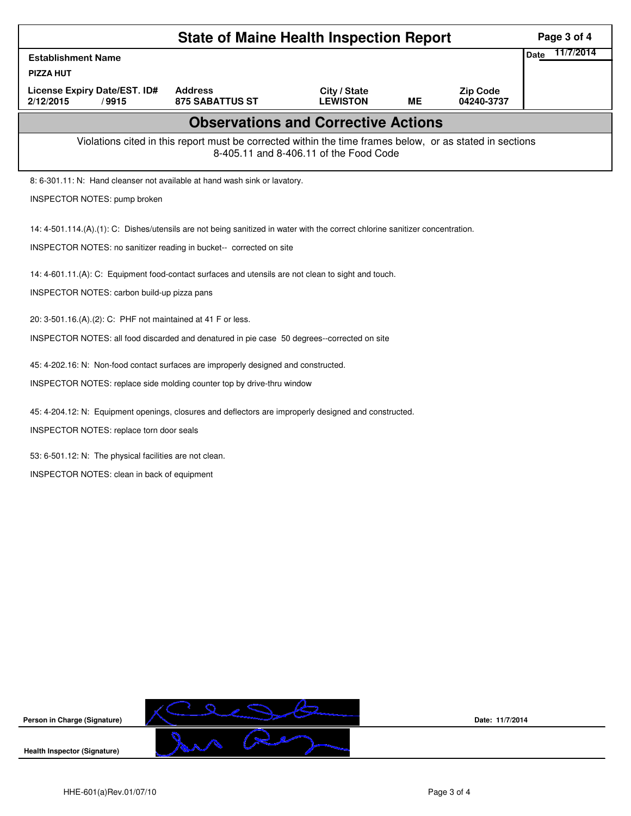|                                                                                                                                                                                                                                                                                                                                                                                                                                                                                                                                                                                                                                                                                             | Page 3 of 4                                |                                 |    |                               |                          |  |  |  |
|---------------------------------------------------------------------------------------------------------------------------------------------------------------------------------------------------------------------------------------------------------------------------------------------------------------------------------------------------------------------------------------------------------------------------------------------------------------------------------------------------------------------------------------------------------------------------------------------------------------------------------------------------------------------------------------------|--------------------------------------------|---------------------------------|----|-------------------------------|--------------------------|--|--|--|
| <b>Establishment Name</b>                                                                                                                                                                                                                                                                                                                                                                                                                                                                                                                                                                                                                                                                   |                                            |                                 |    |                               | 11/7/2014<br><b>Date</b> |  |  |  |
| <b>PIZZA HUT</b>                                                                                                                                                                                                                                                                                                                                                                                                                                                                                                                                                                                                                                                                            |                                            |                                 |    |                               |                          |  |  |  |
| License Expiry Date/EST. ID#<br>2/12/2015<br>/9915                                                                                                                                                                                                                                                                                                                                                                                                                                                                                                                                                                                                                                          | <b>Address</b><br><b>875 SABATTUS ST</b>   | City / State<br><b>LEWISTON</b> | MΕ | <b>Zip Code</b><br>04240-3737 |                          |  |  |  |
|                                                                                                                                                                                                                                                                                                                                                                                                                                                                                                                                                                                                                                                                                             | <b>Observations and Corrective Actions</b> |                                 |    |                               |                          |  |  |  |
| Violations cited in this report must be corrected within the time frames below, or as stated in sections<br>8-405.11 and 8-406.11 of the Food Code                                                                                                                                                                                                                                                                                                                                                                                                                                                                                                                                          |                                            |                                 |    |                               |                          |  |  |  |
| 8: 6-301.11: N: Hand cleanser not available at hand wash sink or lavatory.                                                                                                                                                                                                                                                                                                                                                                                                                                                                                                                                                                                                                  |                                            |                                 |    |                               |                          |  |  |  |
| INSPECTOR NOTES: pump broken                                                                                                                                                                                                                                                                                                                                                                                                                                                                                                                                                                                                                                                                |                                            |                                 |    |                               |                          |  |  |  |
| 14: 4-501.114.(A).(1): C: Dishes/utensils are not being sanitized in water with the correct chlorine sanitizer concentration.<br>INSPECTOR NOTES: no sanitizer reading in bucket-- corrected on site<br>14: 4-601.11. (A): C: Equipment food-contact surfaces and utensils are not clean to sight and touch.<br>INSPECTOR NOTES: carbon build-up pizza pans<br>20: 3-501.16.(A).(2): C: PHF not maintained at 41 F or less.<br>INSPECTOR NOTES: all food discarded and denatured in pie case 50 degrees--corrected on site<br>45: 4-202.16: N: Non-food contact surfaces are improperly designed and constructed.<br>INSPECTOR NOTES: replace side molding counter top by drive-thru window |                                            |                                 |    |                               |                          |  |  |  |
| 45: 4-204.12: N: Equipment openings, closures and deflectors are improperly designed and constructed.<br>INSPECTOR NOTES: replace torn door seals<br>53: 6-501.12: N: The physical facilities are not clean.<br><b>INSPECTOR NOTES: clean in back of equipment</b>                                                                                                                                                                                                                                                                                                                                                                                                                          |                                            |                                 |    |                               |                          |  |  |  |